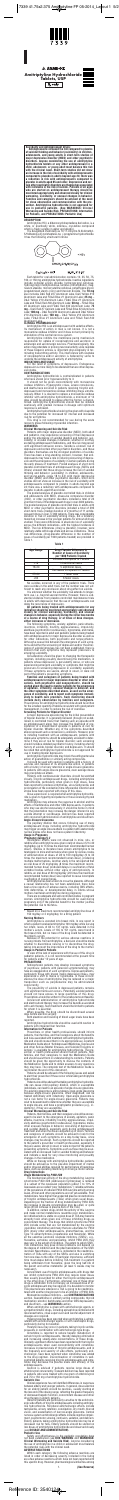

7339 41.75x2.375 Amisptyline FP 05-2014\_Layout 1 5/2

### **DESCRIPTION**

Amitriptyline HCl, a dibenzocycloheptadiene derivative, is a<br>white, or practically white, odorless, crystalline compound<br>which is freely soluble in water and alcohol.<br>It is designated chemically as 10,11-Dihydro-N,N-dimeth



## M.W. 313.87

# Each tablet for oral administration contains 10, 25, 50, 75, 10, or 150 mg amitriptyline hydrocolloride. Inaction include colloidal silicon dioxide, hydroxypropyl rellulose, include colloidal silicon dioxide, hydroxypropy

 $C_{20}H_{23}N \cdot HCl$ 

**CLINICAL PHARMACOLOGY**<br> **CLINICAL PHARMACOLOGY**<br>
Its mechanism of action in man is not known. It is not a<br>
Its mechanism of action in man is not known. It is not a<br>
minumicon vidas einhibitor and it does not act primarily

For the relief of symptoms of depression. Endogenous<br>depression is more likely to be alleviated than are other depres-<br>sive states.

sive states.<br> **CONTRAINDICATIONS**<br>
contraindicated in patients<br>
contraindicated in patients<br>
Amitriptyline hydrochloride is contraindicated in patients<br>
who have shown prior bypersensitivity to it.<br>
It is hould not be give

WARNINGS<br>
Clinical Worsening and Suicide Risk<br>
Pathents with major depressive disorder (MDD), both adult<br>
Pathents with major depressive disorder (MDD), both adult<br>
cidatily) or unusual changes in behavior (sui-<br>
cidatily)

| $\sim$ |  |
|--------|--|
|        |  |

1 Based on a maximum recommended amitriptyline dose of 150 mg/day or 3 mg/kg/day for a 50 kg patient.

**Nursing Mothers**<br>Amitriptyline is excreted into breast milk. In one report in<br>Which a patient received amitriptyline 100 mg/day while nursing<br>ther infant, levels of 83 to 141 ng/mL were detected in the<br>mother's serum. Lev

the infant's serum.<br>Because of the potential for serious adverse reactions in<br>nursing infants from amitriptyline, a decision should be made<br>nursing infants from amitriptyline, a decision should be made<br>whether to discontin

**PRECAUTIONS**

Schizophrenic patients may develop increased symptoms<br>of psychosis; patients with paranoid symptomatology may<br>have an exaggeration of such symptoms. Depressed patients,<br>particularly those with known manic-depressive illnes

tranquilizer such as perphenazine may be administered<br>concurrently.<br>The possibility of suicide in depressed patients remains<br>infilm is gindificant remission occurs. Potentially suicidal patients<br>should not have access to l

Amitriptyline hydrochloride should be used with caution in<br>patients with impaired liver function.<br>Information for Patlents<br>Information for Patlents<br>Therecribers or other health professionals should inform<br>patients, their f Actions is available for aimitiply interpretation scriber or health professional should instruct patients, their<br>families, and their caregivers to read the Medication Guide<br>and should assist them in understanding its conte and should assist them in understanding its contents. Patients<br>should be given the opportunity to discuss the contents of<br>the Medication Guide and to obtain answers to any questions<br>they may have. The complete text of the

hydrochloride.

Patients should be advised that taking amitriptyline hydroc ride can cause mild pupillary dilation, which in susceptible individuals, can lead to an episode of angle-closure glaucoma. Pre-existing glaucoma is almost always open-angle glaucoma<br>because angle-closure glaucoma, when diagnosed, can be<br>treated definitively with iridectomy. Open-angle glaucoma is<br>not a risk factor for angle-closure glaucoma. P dectomy), if they are susceptible.<br>**Clinical Worsening and Suicide Risk**<br>Patients, their families, and their caregivers should be encour<sup>.</sup>

Patients, their families, and their caregivers should be encour-<br>aged to be alert to the emergence of anxiety, agitation, panic<br>attacks, insomnia, irritability, hostility, aggressiveness, impul-<br>sivity, akathisia (psychomo other unusual changes in behavior, worsening of depression,<br>and suicidal ideation, especially early during antidepressant<br>treatment and when the dose is adjusted up or down. Families<br>and cargivers of patients sholud be adv

changes in the medication.<br>While on therapy with amitriptyline hydrochloride, patients<br>should be advised as to the possible impairment of mental<br>and/or physical abilities required for performance of hazardous<br>tasks, such a

**Drug Interactions**<br> **Drugs Metabolized by P450 2D6**<br> **The biochemical activity of the drug metabolizing isozyme<br>
The biochemical activity of the drug metabolizing isozyme<br>
in a subset of the caucasian population (about 7** 

of tricyclic antidepressants (TCAs) when given usual doses.<br>Depending on the fraction of drug metabolized by P450 2D6,<br>the increase in plasma concentration may be small, or quite<br>large (8 fold increase in plasma concentrat

Concomitant use of tricyclic antidepressants with drugs that<br>can inhibit cytochrome P450 2D6 may require lower does<br>than usually prescribed for either the tricyclic antidepressant<br>or the other drug. Furthermore, whenever o

section. Guanethidine or similarly acting compounds; thyroid<br>medication; alcohol, barbiturates and other CNS depressants;<br>and disulfiram – see **WARNINGS** section.<br>When amitriplyline is given with anticholinergic agents or<br>

istered with anticholinergic agents or with neuroleptic drugs,<br>istered with anticholinergic agents or with neuroleptic drugs,<br>Paralytic ileus may occur in patients taking tricyclic antide-<br>Clemetialis in combination with a

ethchlorvynol concurrently. Transient delirium has been reported<br>in patients who were treated with one gram of ethchlorvynol<br>and 75 to 150 mg of amitriptyline hydrochloride.<br>**Geriatric Use** 

Clinical experience has not identified differences in responses<br>between elderly and younger patients. In general, dose selection<br>for an elderly patient should be cautious, usually starting at<br>the low end of the dosing rang

Safety and effectiveness in the pediatric population have<br>not been established (see **BOX WARNING** and WARNINGS<br>Clinical Worsening and Suicide Risk). Anyone considering<br>the use of amitriptyline in a child or adolescent must

Within each category the following adverse reactions are<br>listed in order of decreasing severity. Included in the listing<br>are a few adverse reactions which have not been reported with<br>this specific drug. However, pharmacolo

| Age Range | Drug-Placebo Difference in<br><b>Number of Cases of Suicidality</b><br>per 1000 Patients Treated |  |
|-----------|--------------------------------------------------------------------------------------------------|--|
|           | Increases Compared to Placebo                                                                    |  |
| < 18      | 14 additional cases                                                                              |  |
| 18-24     | 5 additional cases                                                                               |  |
|           | Decreases Compared to Placebo                                                                    |  |
| $25 - 64$ | 1 fewer case                                                                                     |  |
| >65       | 6 fewer cases                                                                                    |  |
|           | .                                                                                                |  |

No suicides occurred in any of the pediatric trials. There<br>were suicides in the adult trials, but the number was not suf-<br>ficient to reach any conclusion about drug effect on suicide.<br>It is unknown whether the suicideality

insomina, irritability, hostitity, aggressiveness, inpubsivity, and<br>iakahisal (ngychomotor restlessness), hypomania, and mania, and<br>with antidepressants for major departes the sing retards with antidepressants for major de

 $\bigcirc$ 

♦

suicide attempt or overdosage. Delirium has been reported<br>suicide attempt to overcomental doministation of amitripyline and disulfiram.<br>The pupillary dilation that occurs following use of many<br>antidepressant drugs includin

Amitriptyline has been shown to cross the placenta. Although<br>a causal relationship has not been established, there have<br>been a few reports of adverse events, including CNS effects,<br>limb deformities, or developmental delay,

mothers had taken amitriptyline during pregnancy.<br>There are no adequate and well-controlled studies in pregnant<br>women. Amitriptyline hydrochloride should be used during<br>pregnancy only if the potential benefit to the mother



Suicidality and Antidepressant Drugs:<br>
Suicidality and Antidepressant Drugs:<br>
Cuidality and Mentidepressants increased the risk compared to placebo<br>
of suicidal thinking and behavior (suicidality) in children,<br>
and of succ

1. **(See Reverse)**

Reference ID: 3540124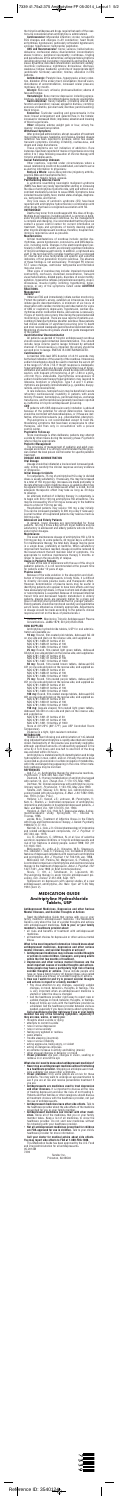- medicines all treatment choices for depression or other serious mental
- illness What is the most important information I should know about<br>antidepressant medicines, depression and other serious<br>mental illnesses, and suicidal thoughts or actions?<br>1. Antidepressant medicines may increase suicidal though
- **or actions in some children, teenagers, and young adults within the first few months of treatment.**
- 2. **Depression and other serious mental illnesses are the most important causes of suicidal thoughts and actions. Some people may have a particularly high risk of having suicidal thoughts or actions.** These include people who have (or have a family history of) bipolar illness (also called manic-depressive illness) or suicidal thoughts or actions. 3. **How can I watch for and try to prevent suicidal thoughts and actions in myself or a family member?**
- Pay close attention to any changes, especially sudden changes, in mood, behaviors, thoughts, or feelings. This is very important when an antidepressant medicine is started or when the dose is changed.
	-
- Call the healthcare provider right away to report new or<br>sudden changes in mood, behavior, thoughts, or feelings<br>- Keep all follow-up visits with the healthcare provider as<br>scheduled. Call the healthcare provider baveen
- 
- 
- 
- 
- 
- 
- 
- 
- 
- 
- new or worse anxiety<br>• feeling very agitated or restless<br>• panic attacks<br>• new or worse irritability<br>• new or worse irritability<br>• acting on dangerous impulses<br>• acting on dangerous impulses<br>• an extreme increase in acti
- What else do I need to know about antidepressant medicines?<br>• Never stop an antidepressant medicine without first talking<br>to a healthcare provider. Stopping an antidepressant medicine<br>ticine suddenly can cause other sympt
- 
- you are. **Antidepressants are medicines used to treat depression and other illnesses.** It is important to discuss all the risks<br>of treating depression and also the risks of not treating it.<br>Patients and their families or other caregivers should discuss<br>all treatment choices with the he
- the use of antidepressants.<br>**Antidepressant medicines https://** pressant medicines have other side effects. Talk to<br>ulthcare provider about the side effects of the medicine
- the healthcare provider about the side effects of the medicine<br>
the healthcare provider about the side effects of the medicine<br> **Antidepressant medicines can interact with other medi-**<br> **cines.** Know all of the medicines t
- 

Call your doctor for medical advice about side effects.<br>You may report side effects to FDA at 1-800-FDA-1088.<br>This Medication Guide has been approved by the U.S. Food<br>and Drug Administration for all antidepressants.<br>05-201

2 Hollister, L.E.; Monitoring Tricyclic Antidepressant Plasma Concentrations. JAMA 1979; 241(23):2530-2533.

 $\color{red} \blacklozenge$ 

HOW SUPPLEUD<br>Analogo Martinghom hydrochloride tablets, USP for oral adminis-<br>hamping mytochloride tablets, USP for oral adminis-<br>also and marginal the coated pink habits, debtors and Galin Cases and Galin Cases and Galin C

♦

## **MEDICATION GUIDE Amitriptyline Hydrochloride Tablets, USP**

# **Antidepressant Medicines, Depression and other Serious Mental Illnesses, and Suicidal Thoughts or Actions**

Read the Medication Guide that comes with you or your<br>family member's antidepressant medicine. This Medication<br>Guide is only about the risk of suicidal thoughts and actions<br>with antidepressant medicines. **Talk to your, or** 

Sandoz Inc., Princeton, NJ 08540

the tricyclic antidepressant drugs require that each of the reactions be considered when amitriplyline is administered. Cardiovascular: Myocardial infaction; crosse, nonspectific CG changes and changes in AV conduction; te

Antinohinerice: Paralytic ileua, hyperpyreada; unirary reten-<br>ton, dialatono of the unirary tract; constiguation; burred vision, the<br>indivisions of accommodation, increased ocular pressure, mydinass; ary mouth.<br>
Including

**REACTIONS**<br> **ENERGATION**<br> **ENERGATION**<br> **Onbain an ECG and immediately initiate cardiac monitoring.<br>
Orbatin an ECG and immediately initiate cardiac monitoring<br>
Protect the patient's airway, establish an intravenous line** 

should be controlled with benzodiazepines, or if these are inef-<br>fective, other anticonvulsants (e.g., phenobarbital, phenytoin).<br>Physostigmine is not recommended except to treat life-<br>threatening symptoms that have been u





**Oral Dosage should be initiated at a low level and increased grad-<br>ally, noting carefully the clinical response and any evidence<br>ally, noting carefully the clinical response and any evidence<br>of intelerance.<br>In a dividend**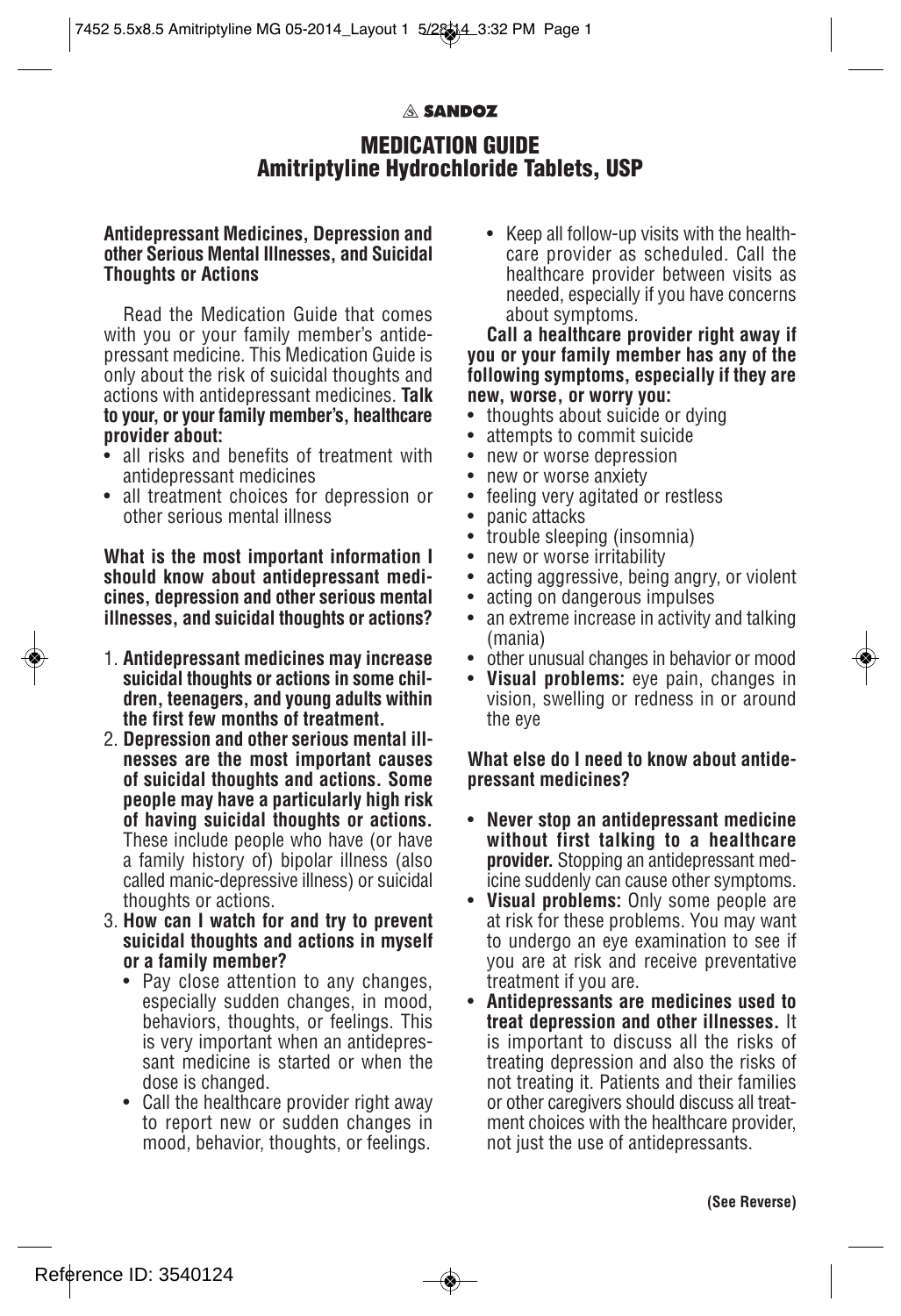# **SANDOZ**

# **MEDICATION GUIDE Amitriptyline Hydrochloride Tablets, USP**

# **Antidepressant Medicines, Depression and other Serious Mental Illnesses, and Suicidal Thoughts or Actions**

Read the Medication Guide that comes with you or your family member's antidepressant medicine. This Medication Guide is only about the risk of suicidal thoughts and actions with antidepressant medicines. **Talk to your, or your family member's, healthcare provider about:**

- all risks and benefits of treatment with antidepressant medicines
- all treatment choices for depression or other serious mental illness

**What is the most important information I should know about antidepressant medicines, depression and other serious mental illnesses, and suicidal thoughts or actions?**

- 1. **Antidepressant medicines may increase suicidal thoughts or actions in some children, teenagers, and young adults within the first few months of treatment.**
- 2. **Depression and other serious mental illnesses are the most important causes of suicidal thoughts and actions. Some people may have a particularly high risk of having suicidal thoughts or actions.** These include people who have (or have a family history of) bipolar illness (also called manic-depressive illness) or suicidal thoughts or actions.
- 3. **How can I watch for and try to prevent suicidal thoughts and actions in myself or a family member?**
	- Pay close attention to any changes, especially sudden changes, in mood, behaviors, thoughts, or feelings. This is very important when an antidepressant medicine is started or when the dose is changed.
	- Call the healthcare provider right away to report new or sudden changes in mood, behavior, thoughts, or feelings.

• Keep all follow-up visits with the healthcare provider as scheduled. Call the healthcare provider between visits as needed, especially if you have concerns about symptoms.

**Call a healthcare provider right away if you or your family member has any of the following symptoms, especially if they are new, worse, or worry you:**

- thoughts about suicide or dying
- attempts to commit suicide
- new or worse depression
- new or worse anxiety
- feeling very agitated or restless
- panic attacks
- trouble sleeping (insomnia)
- new or worse irritability
- acting aggressive, being angry, or violent
- acting on dangerous impulses
- an extreme increase in activity and talking (mania)
- other unusual changes in behavior or mood
- **Visual problems:** eye pain, changes in vision, swelling or redness in or around the eye

**What else do I need to know about antidepressant medicines?**

- **Never stop an antidepressant medicine without first talking to a healthcare provider.** Stopping an antidepressant medicine suddenly can cause other symptoms.
- **Visual problems:** Only some people are at risk for these problems. You may want to undergo an eye examination to see if you are at risk and receive preventative treatment if you are.
- **Antidepressants are medicines used to treat depression and other illnesses.** It is important to discuss all the risks of treating depression and also the risks of not treating it. Patients and their families or other caregivers should discuss all treatment choices with the healthcare provider, not just the use of antidepressants.